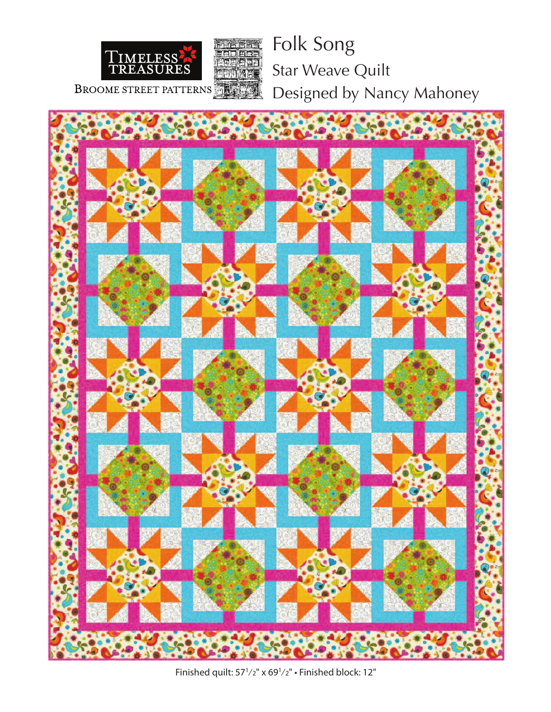

Folk Song Star Weave Quilt Designed by Nancy Mahoney



Finished quilt: 571⁄2" x 691⁄2" • Finished block: 12"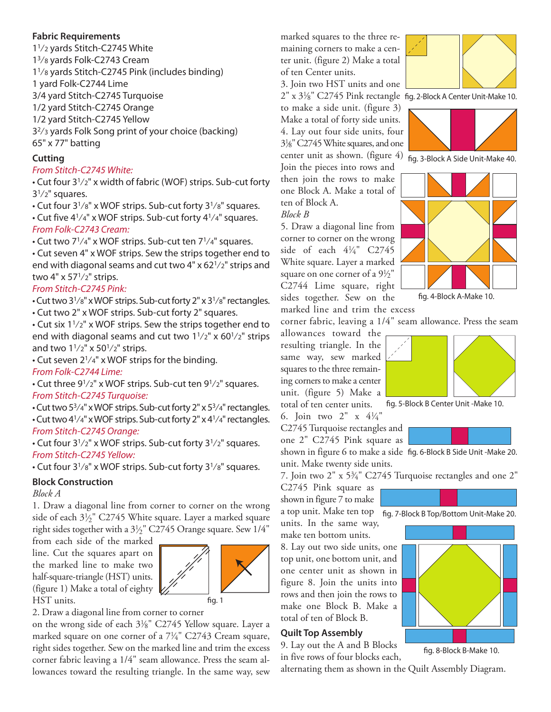#### **Fabric Requirements**

11⁄2 yards Stitch-C2745 White 13⁄8 yards Folk-C2743 Cream 11⁄8 yards Stitch-C2745 Pink (includes binding) 1 yard Folk-C2744 Lime 3/4 yard Stitch-C2745 Turquoise 1/2 yard Stitch-C2745 Orange 1/2 yard Stitch-C2745 Yellow 32⁄3 yards Folk Song print of your choice (backing) 65" x 77" batting

# **Cutting**

## *From Stitch-C2745 White:*

• Cut four 31⁄2" x width of fabric (WOF) strips. Sub-cut forty  $3<sup>1</sup>/2$ " squares.

• Cut four 31⁄8" x WOF strips. Sub-cut forty 31⁄8" squares.

• Cut five  $4^{1}/4$ " x WOF strips. Sub-cut forty  $4^{1}/4$ " squares. *From Folk-C2743 Cream:*

• Cut two  $7^{1}/4"$  x WOF strips. Sub-cut ten  $7^{1}/4"$  squares.

• Cut seven 4" x WOF strips. Sew the strips together end to end with diagonal seams and cut two  $4" \times 62^{1/2"$  strips and two  $4" \times 57^{1}/2"$  strips.

## *From Stitch-C2745 Pink:*

• Cut two  $3^{1}/8"$  x WOF strips. Sub-cut forty 2" x  $3^{1}/8"$  rectangles. • Cut two 2" x WOF strips. Sub-cut forty 2" squares.

• Cut six 11⁄2" x WOF strips. Sew the strips together end to end with diagonal seams and cut two  $1\frac{1}{2}$ " x  $60\frac{1}{2}$ " strips and two  $1^{1}/2$ " x  $50^{1}/2$ " strips.

• Cut seven  $2^{1}/4"$  x WOF strips for the binding.

#### *From Folk-C2744 Lime:*

• Cut three 91⁄2" x WOF strips. Sub-cut ten 91⁄2" squares. *From Stitch-C2745 Turquoise:*

• Cut two  $5\frac{3}{4}$ " x WOF strips. Sub-cut forty 2" x  $5\frac{3}{4}$ " rectangles.  $\cdot$  Cut two 4<sup>1</sup>/4" x WOF strips. Sub-cut forty 2" x 4<sup>1</sup>/4" rectangles. *From Stitch-C2745 Orange:*

• Cut four 31⁄2" x WOF strips. Sub-cut forty 31⁄2" squares. *From Stitch-C2745 Yellow:*

• Cut four  $3^{1}/8"$  x WOF strips. Sub-cut forty  $3^{1}/8"$  squares.

## **Block Construction**

*Block A*

1. Draw a diagonal line from corner to corner on the wrong side of each  $3\frac{1}{2}$ " C2745 White square. Layer a marked square right sides together with a 31 ⁄2" C2745 Orange square. Sew 1/4"

from each side of the marked line. Cut the squares apart on the marked line to make two half-square-triangle (HST) units. (figure 1) Make a total of eighty HST units.



2. Draw a diagonal line from corner to corner

on the wrong side of each 31/8" C2745 Yellow square. Layer a marked square on one corner of a 71 ⁄4" C2743 Cream square, right sides together. Sew on the marked line and trim the excess corner fabric leaving a 1/4" seam allowance. Press the seam allowances toward the resulting triangle. In the same way, sew

marked squares to the three remaining corners to make a center unit. (figure 2) Make a total of ten Center units.

3. Join two HST units and one

to make a side unit. (figure 3) Make a total of forty side units. 4. Lay out four side units, four 31 ⁄8"C2745Whitesquares, and one center unit as shown. (figure  $\overline{4}$ )  $\overline{f}$  fig. 3-Block A Side Unit-Make 40. Join the pieces into rows and

then join the rows to make one Block A. Make a total of ten of Block A.

*Block B*

5. Draw a diagonal line from corner to corner on the wrong side of each 41 ⁄4" C2745 White square. Layer a marked square on one corner of a  $9\frac{1}{2}$ " C2744 Lime square, right sides together. Sew on the

marked line and trim the excess



 $2^{\prime\prime}$  x  $3\frac{1}{8}^{\prime\prime}$  C2745 Pink rectangle fig. 2-Block A Center Unit-Make 10.





fig. 4-Block A-Make 10.

corner fabric, leaving a 1/4" seam allowance. Press the seam

allowances toward the resulting triangle. In the same way, sew marked squares to the three remaining corners to make a center unit. (figure 5) Make a total of ten center units.



fig. 8-Block B-Make 10.

fig. 5-Block B Center Unit -Make 10.

6. Join two  $2'' \times 4\frac{1}{4}$ C2745 Turquoise rectangles and one 2" C2745 Pink square as

shown in figure 6 to make a side fig. 6-Block B Side Unit -Make 20. unit. Make twenty side units.

7. Join two 2" x 53 ⁄4" C2745 Turquoise rectangles and one 2"

C2745 Pink square as shown in figure 7 to make

a top unit. Make ten top fig. 7-Block B Top/Bottom Unit-Make 20. units. In the same way,

make ten bottom units.

8. Lay out two side units, one top unit, one bottom unit, and one center unit as shown in figure 8. Join the units into rows and then join the rows to make one Block B. Make a total of ten of Block B.

#### **Quilt Top Assembly**

9. Lay out the A and B Blocks in five rows of four blocks each,

alternating them as shown in the Quilt Assembly Diagram.